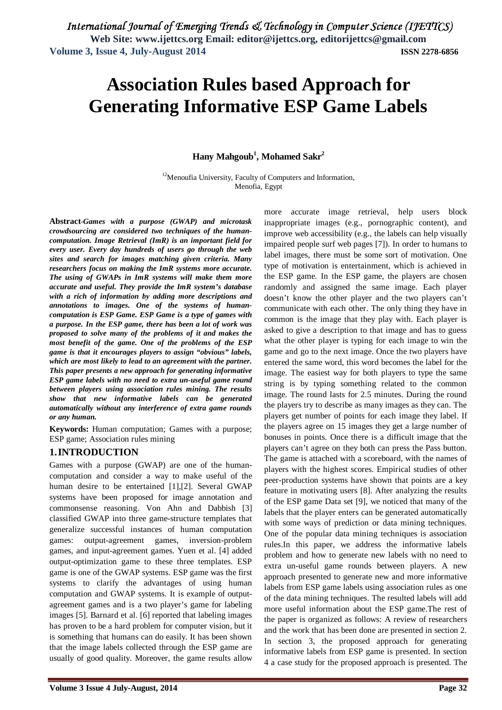# **Association Rules based Approach for Generating Informative ESP Game Labels**

### **Hany Mahgoub<sup>1</sup> , Mohamed Sakr 2**

<sup>12</sup>Menoufia University, Faculty of Computers and Information, Menofia, Egypt

**Abstract**-*Games with a purpose (GWAP) and microtask crowdsourcing are considered two techniques of the humancomputation. Image Retrieval (ImR) is an important field for every user. Every day hundreds of users go through the web sites and search for images matching given criteria. Many researchers focus on making the ImR systems more accurate. The using of GWAPs in ImR systems will make them more accurate and useful. They provide the ImR system's database with a rich of information by adding more descriptions and annotations to images. One of the systems of humancomputation is ESP Game. ESP Game is a type of games with a purpose. In the ESP game, there has been a lot of work was proposed to solve many of the problems of it and makes the most benefit of the game. One of the problems of the ESP game is that it encourages players to assign "obvious" labels, which are most likely to lead to an agreement with the partner. This paper presents a new approach for generating informative ESP game labels with no need to extra un-useful game round between players using association rules mining. The results show that new informative labels can be generated automatically without any interference of extra game rounds or any human.*

**Keywords:** Human computation; Games with a purpose; ESP game; Association rules mining

### **1.INTRODUCTION**

Games with a purpose (GWAP) are one of the humancomputation and consider a way to make useful of the human desire to be entertained [1],[2]. Several GWAP systems have been proposed for image annotation and commonsense reasoning. Von Ahn and Dabbish [3] classified GWAP into three game-structure templates that generalize successful instances of human computation games: output-agreement games, inversion-problem games, and input-agreement games. Yuen et al. [4] added output-optimization game to these three templates. ESP game is one of the GWAP systems. ESP game was the first systems to clarify the advantages of using human computation and GWAP systems. It is example of outputagreement games and is a two player's game for labeling images [5]. Barnard et al. [6] reported that labeling images has proven to be a hard problem for computer vision, but it is something that humans can do easily. It has been shown that the image labels collected through the ESP game are usually of good quality. Moreover, the game results allow

improve web accessibility (e.g., the labels can help visually impaired people surf web pages [7]). In order to humans to label images, there must be some sort of motivation. One type of motivation is entertainment, which is achieved in the ESP game. In the ESP game, the players are chosen randomly and assigned the same image. Each player doesn't know the other player and the two players can't communicate with each other. The only thing they have in common is the image that they play with. Each player is asked to give a description to that image and has to guess what the other player is typing for each image to win the game and go to the next image. Once the two players have entered the same word, this word becomes the label for the image. The easiest way for both players to type the same string is by typing something related to the common image. The round lasts for 2.5 minutes. During the round the players try to describe as many images as they can. The players get number of points for each image they label. If the players agree on 15 images they get a large number of bonuses in points. Once there is a difficult image that the players can't agree on they both can press the Pass button. The game is attached with a scoreboard, with the names of players with the highest scores. Empirical studies of other peer-production systems have shown that points are a key feature in motivating users [8]. After analyzing the results of the ESP game Data set [9], we noticed that many of the labels that the player enters can be generated automatically with some ways of prediction or data mining techniques. One of the popular data mining techniques is association rules.In this paper, we address the informative labels problem and how to generate new labels with no need to extra un-useful game rounds between players. A new approach presented to generate new and more informative labels from ESP game labels using association rules as one of the data mining techniques. The resulted labels will add more useful information about the ESP game.The rest of the paper is organized as follows: A review of researchers and the work that has been done are presented in section 2. In section 3, the proposed approach for generating informative labels from ESP game is presented. In section 4 a case study for the proposed approach is presented. The

more accurate image retrieval, help users block inappropriate images (e.g., pornographic content), and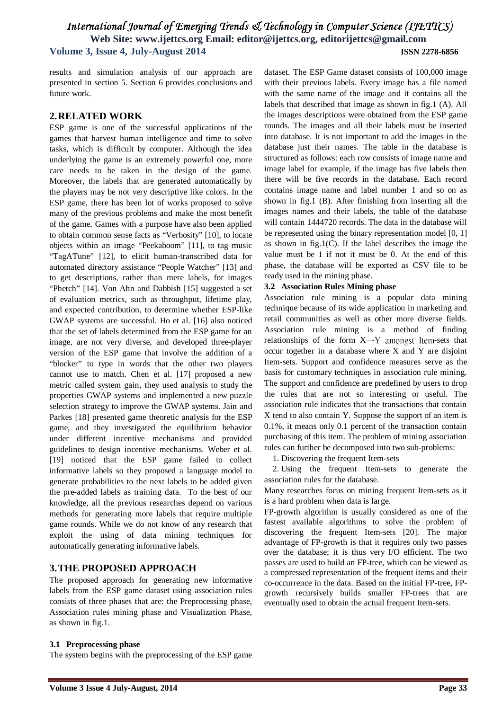results and simulation analysis of our approach are presented in section 5. Section 6 provides conclusions and future work.

#### **2.RELATED WORK**

ESP game is one of the successful applications of the games that harvest human intelligence and time to solve tasks, which is difficult by computer. Although the idea underlying the game is an extremely powerful one, more care needs to be taken in the design of the game. Moreover, the labels that are generated automatically by the players may be not very descriptive like colors. In the ESP game, there has been lot of works proposed to solve many of the previous problems and make the most benefit of the game. Games with a purpose have also been applied to obtain common sense facts as "Verbosity" [10], to locate objects within an image "Peekaboom" [11], to tag music "TagATune" [12], to elicit human-transcribed data for automated directory assistance "People Watcher" [13] and to get descriptions, rather than mere labels, for images "Phetch" [14]. Von Ahn and Dabbish [15] suggested a set of evaluation metrics, such as throughput, lifetime play, and expected contribution, to determine whether ESP-like GWAP systems are successful. Ho et al. [16] also noticed that the set of labels determined from the ESP game for an image, are not very diverse, and developed three-player version of the ESP game that involve the addition of a "blocker" to type in words that the other two players cannot use to match. Chen et al. [17] proposed a new metric called system gain, they used analysis to study the properties GWAP systems and implemented a new puzzle selection strategy to improve the GWAP systems. Jain and Parkes [18] presented game theoretic analysis for the ESP game, and they investigated the equilibrium behavior under different incentive mechanisms and provided guidelines to design incentive mechanisms. Weber et al. [19] noticed that the ESP game failed to collect informative labels so they proposed a language model to generate probabilities to the next labels to be added given the pre-added labels as training data. To the best of our knowledge, all the previous researches depend on various methods for generating more labels that require multiple game rounds. While we do not know of any research that exploit the using of data mining techniques for automatically generating informative labels.

### **3.THE PROPOSED APPROACH**

The proposed approach for generating new informative labels from the ESP game dataset using association rules consists of three phases that are: the Preprocessing phase, Association rules mining phase and Visualization Phase, as shown in fig.1.

### dataset. The ESP Game dataset consists of 100,000 image with their previous labels. Every image has a file named with the same name of the image and it contains all the labels that described that image as shown in fig.1 (A). All the images descriptions were obtained from the ESP game rounds. The images and all their labels must be inserted into database. It is not important to add the images in the database just their names. The table in the database is structured as follows: each row consists of image name and image label for example, if the image has five labels then there will be five records in the database. Each record contains image name and label number 1 and so on as shown in fig.1 (B). After finishing from inserting all the images names and their labels, the table of the database will contain 1444720 records. The data in the database will be represented using the binary representation model [0, 1] as shown in fig.1(C). If the label describes the image the value must be 1 if not it must be 0. At the end of this phase, the database will be exported as CSV file to be ready used in the mining phase.

#### **3.2 Association Rules Mining phase**

Association rule mining is a popular data mining technique because of its wide application in marketing and retail communities as well as other more diverse fields. Association rule mining is a method of finding relationships of the form  $X \rightarrow Y$  amongst Item-sets that occur together in a database where X and Y are disjoint Item-sets. Support and confidence measures serve as the basis for customary techniques in association rule mining. The support and confidence are predefined by users to drop the rules that are not so interesting or useful. The association rule indicates that the transactions that contain X tend to also contain Y. Suppose the support of an item is 0.1%, it means only 0.1 percent of the transaction contain purchasing of this item. The problem of mining association rules can further be decomposed into two sub-problems:

1. Discovering the frequent Item-sets

2. Using the frequent Item-sets to generate the association rules for the database.

Many researches focus on mining frequent Item-sets as it is a hard problem when data is large.

FP-growth algorithm is usually considered as one of the fastest available algorithms to solve the problem of discovering the frequent Item-sets [20]. The major advantage of FP-growth is that it requires only two passes over the database; it is thus very I/O efficient. The two passes are used to build an FP-tree, which can be viewed as a compressed representation of the frequent items and their co-occurrence in the data. Based on the initial FP-tree, FPgrowth recursively builds smaller FP-trees that are eventually used to obtain the actual frequent Item-sets.

#### **3.1 Preprocessing phase**

The system begins with the preprocessing of the ESP game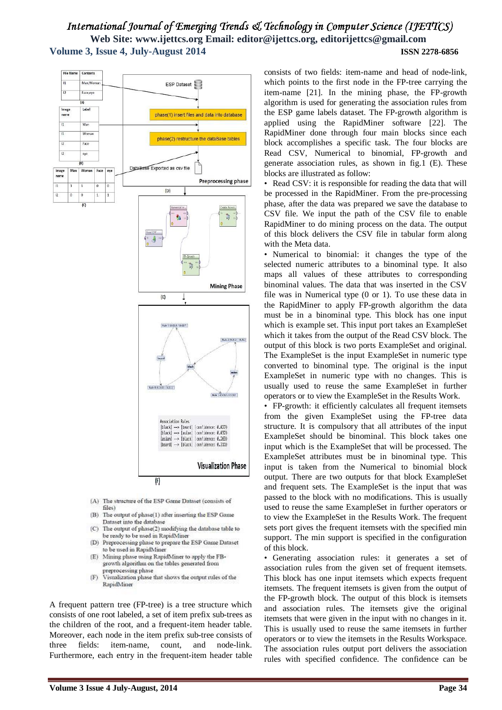

- (A) The structure of the ESP Game Dataset (consists of files)
- (B) The output of phase(1) after inserting the ESP Game Dataset into the database
- (C) The output of phase(2) modifying the database table to be ready to be used in RapidMiner
- (D) Preprocessing phase to prepare the ESP Game Dataset to be used in RapidMiner
- (E) Mining phase using RapidMiner to apply the FBgrowth algorithm on the tables generated from preprocessing phase<br>Visualization phase that shows the output rules of the
- $(F)$ RapidMiner

A frequent pattern tree (FP-tree) is a tree structure which consists of one root labeled, a set of item prefix sub-trees as the children of the root, and a frequent-item header table. Moreover, each node in the item prefix sub-tree consists of three fields: item-name, count, and node-link. Furthermore, each entry in the frequent-item header table consists of two fields: item-name and head of node-link, which points to the first node in the FP-tree carrying the item-name [21]. In the mining phase, the FP-growth algorithm is used for generating the association rules from the ESP game labels dataset. The FP-growth algorithm is applied using the RapidMiner software [22]. The RapidMiner done through four main blocks since each block accomplishes a specific task. The four blocks are Read CSV, Numerical to binomial, FP-growth and generate association rules, as shown in fig.1 (E). These blocks are illustrated as follow:

Read CSV: it is responsible for reading the data that will be processed in the RapidMiner. From the pre-processing phase, after the data was prepared we save the database to CSV file. We input the path of the CSV file to enable RapidMiner to do mining process on the data. The output of this block delivers the CSV file in tabular form along with the Meta data.

• Numerical to binomial: it changes the type of the selected numeric attributes to a binominal type. It also maps all values of these attributes to corresponding binominal values. The data that was inserted in the CSV file was in Numerical type (0 or 1). To use these data in the RapidMiner to apply FP-growth algorithm the data must be in a binominal type. This block has one input which is example set. This input port takes an ExampleSet which it takes from the output of the Read CSV block. The output of this block is two ports ExampleSet and original. The ExampleSet is the input ExampleSet in numeric type converted to binominal type. The original is the input ExampleSet in numeric type with no changes. This is usually used to reuse the same ExampleSet in further operators or to view the ExampleSet in the Results Work.

• FP-growth: it efficiently calculates all frequent itemsets from the given ExampleSet using the FP-tree data structure. It is compulsory that all attributes of the input ExampleSet should be binominal. This block takes one input which is the ExampleSet that will be processed. The ExampleSet attributes must be in binominal type. This input is taken from the Numerical to binomial block output. There are two outputs for that block ExampleSet and frequent sets. The ExampleSet is the input that was passed to the block with no modifications. This is usually used to reuse the same ExampleSet in further operators or to view the ExampleSet in the Results Work. The frequent sets port gives the frequent itemsets with the specified min support. The min support is specified in the configuration of this block.

• Generating association rules: it generates a set of association rules from the given set of frequent itemsets. This block has one input itemsets which expects frequent itemsets. The frequent itemsets is given from the output of the FP-growth block. The output of this block is itemsets and association rules. The itemsets give the original itemsets that were given in the input with no changes in it. This is usually used to reuse the same itemsets in further operators or to view the itemsets in the Results Workspace. The association rules output port delivers the association rules with specified confidence. The confidence can be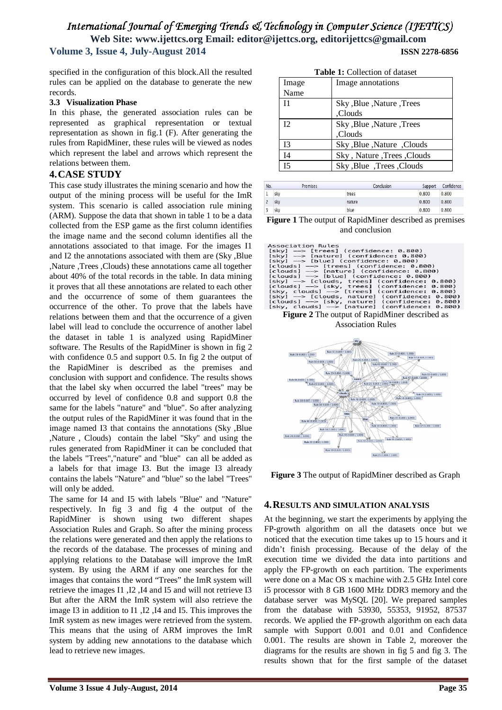specified in the configuration of this block.All the resulted rules can be applied on the database to generate the new records.

#### **3.3 Visualization Phase**

In this phase, the generated association rules can be represented as graphical representation or textual representation as shown in fig.1 (F). After generating the rules from RapidMiner, these rules will be viewed as nodes which represent the label and arrows which represent the relations between them.

#### **4.CASE STUDY**

This case study illustrates the mining scenario and how the output of the mining process will be useful for the ImR system. This scenario is called association rule mining (ARM). Suppose the data that shown in table 1 to be a data collected from the ESP game as the first column identifies the image name and the second column identifies all the annotations associated to that image. For the images I1 and I2 the annotations associated with them are (Sky ,Blue ,Nature ,Trees ,Clouds) these annotations came all together about 40% of the total records in the table. In data mining it proves that all these annotations are related to each other and the occurrence of some of them guarantees the occurrence of the other. To prove that the labels have relations between them and that the occurrence of a given label will lead to conclude the occurrence of another label the dataset in table 1 is analyzed using RapidMiner software. The Results of the RapidMiner is shown in fig 2 with confidence 0.5 and support 0.5. In fig 2 the output of the RapidMiner is described as the premises and conclusion with support and confidence. The results shows that the label sky when occurred the label "trees" may be occurred by level of confidence 0.8 and support 0.8 the same for the labels "nature" and "blue". So after analyzing the output rules of the RapidMiner it was found that in the image named I3 that contains the annotations (Sky ,Blue ,Nature , Clouds) contain the label "Sky" and using the rules generated from RapidMiner it can be concluded that the labels "Trees","nature" and "blue" can all be added as a labels for that image I3. But the image I3 already contains the labels "Nature" and "blue" so the label "Trees" will only be added.

The same for I4 and I5 with labels "Blue" and "Nature" respectively. In fig 3 and fig 4 the output of the RapidMiner is shown using two different shapes Association Rules and Graph. So after the mining process the relations were generated and then apply the relations to the records of the database. The processes of mining and applying relations to the Database will improve the ImR system. By using the ARM if any one searches for the images that contains the word "Trees" the ImR system will retrieve the images I1 ,I2 ,I4 and I5 and will not retrieve I3 But after the ARM the ImR system will also retrieve the image I3 in addition to I1 ,I2 ,I4 and I5. This improves the ImR system as new images were retrieved from the system. This means that the using of ARM improves the ImR system by adding new annotations to the database which lead to retrieve new images.

**Table 1:** Collection of dataset

| Image            | Image annotations          |
|------------------|----------------------------|
| Name             |                            |
| 11               | Sky, Blue, Nature, Trees   |
|                  | Clouds,                    |
| 12 <sub>12</sub> | Sky, Blue, Nature, Trees   |
|                  | Clouds,                    |
| 13               | Sky, Blue, Nature, Clouds  |
| I <sub>4</sub>   | Sky, Nature, Trees, Clouds |
| 15               | Sky, Blue, Trees, Clouds   |

| No.            | Premises | Conclusion | Support | Confidence |
|----------------|----------|------------|---------|------------|
| ٠              | sky      | trees      | 0.800   | 0.800      |
| ٠              | sky      | nature     | 0.800   | 0.800      |
| $\overline{ }$ | sky      | blue       | 0.800   | 0.800      |

**Figure 1** The output of RapidMiner described as premises and conclusion

| Association Rules                                   |
|-----------------------------------------------------|
| $[sky]$ $\rightarrow$ $[trees]$ (confidence: 0.800) |
| [sky] --> [nature] (confidence: 0.800)              |
| [sky] --> [blue] (confidence: 0.800)                |
| [clouds] --> [trees] (confidence: 0.800)            |
| [clouds] --> [nature] (confidence: 0.800)           |
| [clouds] --> [blue] (confidence: 0.800)             |
| [sky] --> [clouds, trees] (confidence: 0.800)       |
| [clouds] --> [sky, trees] (confidence: 0.800)       |
| [sky, clouds] --> [trees] (confidence: 0.800)       |
| [sky] --> [clouds, nature] (confidence: 0.800)      |
| [clouds] --> [sky, nature] (confidence: 0.800)      |
| [sky, clouds] --> [nature] (confidence: 0.800)      |

**Figure 2** The output of RapidMiner described as Association Rules



**Figure 3** The output of RapidMiner described as Graph

### **4.RESULTS AND SIMULATION ANALYSIS**

At the beginning, we start the experiments by applying the FP-growth algorithm on all the datasets once but we noticed that the execution time takes up to 15 hours and it didn't finish processing. Because of the delay of the execution time we divided the data into partitions and apply the FP-growth on each partition. The experiments were done on a Mac OS x machine with 2.5 GHz Intel core i5 processor with 8 GB 1600 MHz DDR3 memory and the database server was MySQL [20]. We prepared samples from the database with 53930, 55353, 91952, 87537 records. We applied the FP-growth algorithm on each data sample with Support 0.001 and 0.01 and Confidence 0.001. The results are shown in Table 2, moreover the diagrams for the results are shown in fig 5 and fig 3. The results shown that for the first sample of the dataset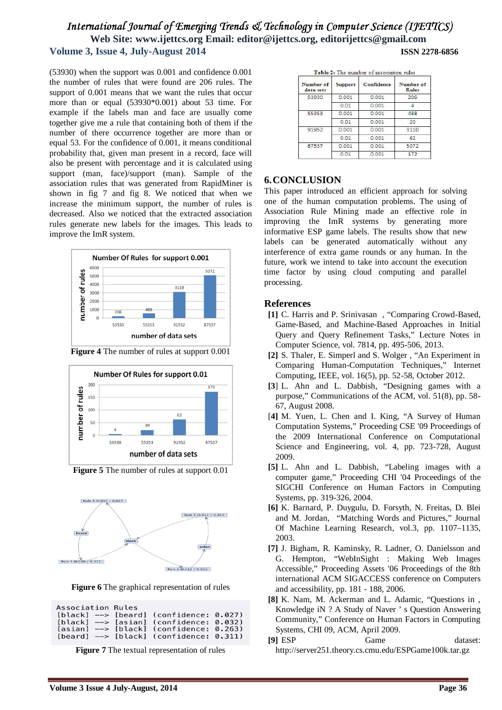(53930) when the support was 0.001 and confidence 0.001 the number of rules that were found are 206 rules. The support of  $0.001$  means that we want the rules that occur more than or equal (53930\*0.001) about 53 time. For example if the labels man and face are usually come together give me a rule that containing both of them if the number of there occurrence together are more than or equal 53. For the confidence of 0.001, it means conditional probability that, given man present in a record, face will also be present with percentage and it is calculated using support (man, face)/support (man). Sample of the association rules that was generated from RapidMiner is shown in fig 7 and fig 8. We noticed that when we increase the minimum support, the number of rules is decreased. Also we noticed that the extracted association rules generate new labels for the images. This leads to improve the ImR system.



**Figure 4** The number of rules at support 0.001



**Figure 5** The number of rules at support 0.01



**Figure 6** The graphical representation of rules

| Association Rules |  |                                                         |  |
|-------------------|--|---------------------------------------------------------|--|
|                   |  | $[black]$ --> $[beard]$ (confidence: 0.027)             |  |
|                   |  | $[black]$ --> $[asian]$ (confidence: 0.032)             |  |
|                   |  | $[asian] \texttt{--}$ $[black]$ (confidence: 0.263)     |  |
|                   |  | $\lceil$ beard] --> $\lceil$ black] (confidence: 0.311) |  |



| Number of<br>data <sub>sets</sub> | Support | Confidence | Number of<br><b>Rules</b> |
|-----------------------------------|---------|------------|---------------------------|
| 53930                             | 0.001   | 0.001      | 206                       |
|                                   | 0.01    | 0.001      |                           |
| 55353                             | 0.001   | 0.001      | 488                       |
|                                   | 0.01    | 0.001      | 20                        |
| 91952                             | 0.001   | 0.001      | 3110                      |
|                                   | 0.01    | 0.001      | 62                        |
| 87537                             | 0.001   | 0.001      | 5072                      |
|                                   | 0.01    | 0.001      | 172                       |

### **6.CONCLUSION**

This paper introduced an efficient approach for solving one of the human computation problems. The using of Association Rule Mining made an effective role in improving the ImR systems by generating more informative ESP game labels. The results show that new labels can be generated automatically without any interference of extra game rounds or any human. In the future, work we intend to take into account the execution time factor by using cloud computing and parallel processing.

### **References**

- **[1]** C. Harris and P. Srinivasan , "Comparing Crowd-Based, Game-Based, and Machine-Based Approaches in Initial Query and Query Refinement Tasks," Lecture Notes in Computer Science, vol. 7814, pp. 495-506, 2013.
- **[2]** S. Thaler, E. Simperl and S. Wolger , "An Experiment in Comparing Human-Computation Techniques," Internet Computing, IEEE, vol. 16(5), pp. 52-58, October 2012.
- **[3**] L. Ahn and L. Dabbish, "Designing games with a purpose," Communications of the ACM, vol. 51(8), pp. 58- 67, August 2008.
- [**4]** M. Yuen, L. Chen and I. King, "A Survey of Human Computation Systems," Proceeding CSE '09 Proceedings of the 2009 International Conference on Computational Science and Engineering, vol. 4, pp. 723-728, August 2009.
- **[5]** L. Ahn and L. Dabbish, "Labeling images with a computer game," Proceeding CHI '04 Proceedings of the SIGCHI Conference on Human Factors in Computing Systems, pp. 319-326, 2004.
- **[6]** K. Barnard, P. Duygulu, D. Forsyth, N. Freitas, D. Blei and M. Jordan, "Matching Words and Pictures," Journal Of Machine Learning Research, vol.3, pp. 1107–1135, 2003.
- **[7]** J. Bigham, R. Kaminsky, R. Ladner, O. Danielsson and G. Hempton, "WebInSight : Making Web Images Accessible," Proceeding Assets '06 Proceedings of the 8th international ACM SIGACCESS conference on Computers and accessibility, pp. 181 - 188, 2006.
- **[8]** K. Nam, M. Ackerman and L. Adamic, "Questions in , Knowledge iN ? A Study of Naver ' s Question Answering Community," Conference on Human Factors in Computing Systems, CHI 09, ACM, April 2009.
- **[9]** ESP Game dataset: http://server251.theory.cs.cmu.edu/ESPGame100k.tar.gz